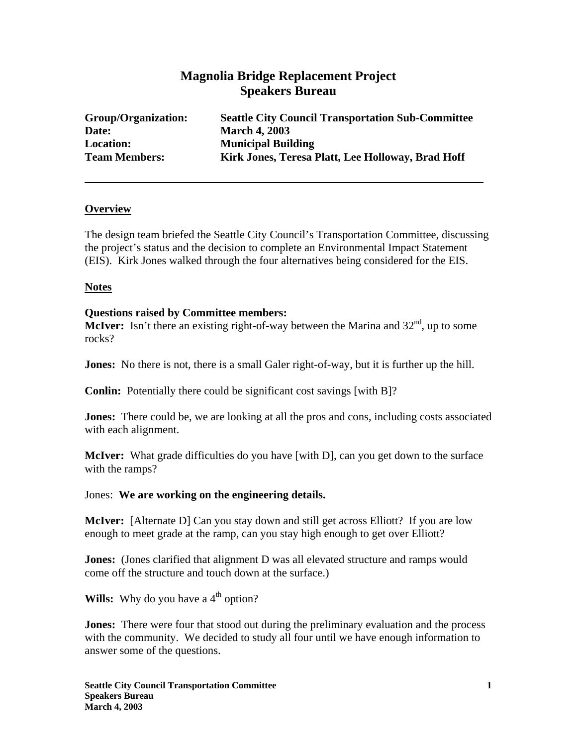# **Magnolia Bridge Replacement Project Speakers Bureau**

| Group/Organization:  | <b>Seattle City Council Transportation Sub-Committee</b> |
|----------------------|----------------------------------------------------------|
| Date:                | <b>March 4, 2003</b>                                     |
| <b>Location:</b>     | <b>Municipal Building</b>                                |
| <b>Team Members:</b> | Kirk Jones, Teresa Platt, Lee Holloway, Brad Hoff        |

## **Overview**

The design team briefed the Seattle City Council's Transportation Committee, discussing the project's status and the decision to complete an Environmental Impact Statement (EIS). Kirk Jones walked through the four alternatives being considered for the EIS.

#### **Notes**

#### **Questions raised by Committee members:**

**McIver:** Isn't there an existing right-of-way between the Marina and  $32<sup>nd</sup>$ , up to some rocks?

**Jones:** No there is not, there is a small Galer right-of-way, but it is further up the hill.

**Conlin:** Potentially there could be significant cost savings [with B]?

**Jones:** There could be, we are looking at all the pros and cons, including costs associated with each alignment.

**McIver:** What grade difficulties do you have [with D], can you get down to the surface with the ramps?

## Jones: **We are working on the engineering details.**

**McIver:** [Alternate D] Can you stay down and still get across Elliott? If you are low enough to meet grade at the ramp, can you stay high enough to get over Elliott?

**Jones:** (Jones clarified that alignment D was all elevated structure and ramps would come off the structure and touch down at the surface.)

**Wills:** Why do you have a  $4<sup>th</sup>$  option?

**Jones:** There were four that stood out during the preliminary evaluation and the process with the community. We decided to study all four until we have enough information to answer some of the questions.